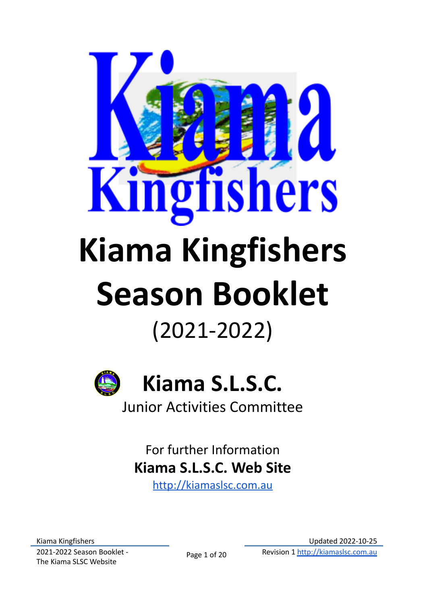



For further Information **Kiama S.L.S.C. Web Site**

<http://kiamaslsc.com.au>

Kiama Kingfishers 2021-2022 Season Booklet - The Kiama SLSC Website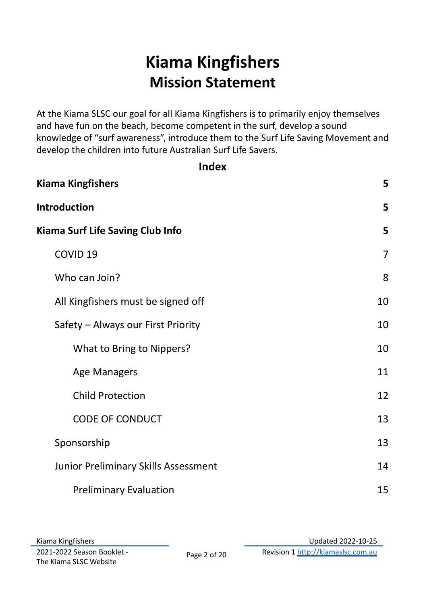# **Kiama Kingfishers Mission Statement**

At the Kiama SLSC our goal for all Kiama Kingfishers is to primarily enjoy themselves and have fun on the beach, become competent in the surf, develop a sound knowledge of "surf awareness", introduce them to the Surf Life Saving Movement and develop the children into future Australian Surf Life Savers.

| . .<br>×<br>v |
|---------------|
|---------------|

| <b>Kiama Kingfishers</b>             | 5  |
|--------------------------------------|----|
| Introduction                         | 5  |
| Kiama Surf Life Saving Club Info     | 5  |
| COVID <sub>19</sub>                  | 7  |
| Who can Join?                        | 8  |
| All Kingfishers must be signed off   | 10 |
| Safety - Always our First Priority   | 10 |
| What to Bring to Nippers?            | 10 |
| Age Managers                         | 11 |
| <b>Child Protection</b>              | 12 |
| <b>CODE OF CONDUCT</b>               | 13 |
| Sponsorship                          | 13 |
| Junior Preliminary Skills Assessment | 14 |
| <b>Preliminary Evaluation</b>        | 15 |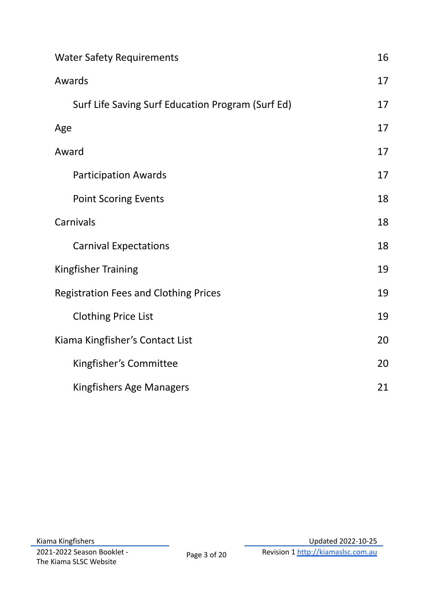<span id="page-2-0"></span>

| <b>Water Safety Requirements</b>                  | 16 |
|---------------------------------------------------|----|
| Awards                                            | 17 |
| Surf Life Saving Surf Education Program (Surf Ed) | 17 |
| Age                                               | 17 |
| Award                                             | 17 |
| <b>Participation Awards</b>                       | 17 |
| <b>Point Scoring Events</b>                       | 18 |
| Carnivals                                         | 18 |
| <b>Carnival Expectations</b>                      | 18 |
| Kingfisher Training                               | 19 |
| <b>Registration Fees and Clothing Prices</b>      | 19 |
| <b>Clothing Price List</b>                        | 19 |
| Kiama Kingfisher's Contact List                   | 20 |
| Kingfisher's Committee                            | 20 |
| Kingfishers Age Managers                          | 21 |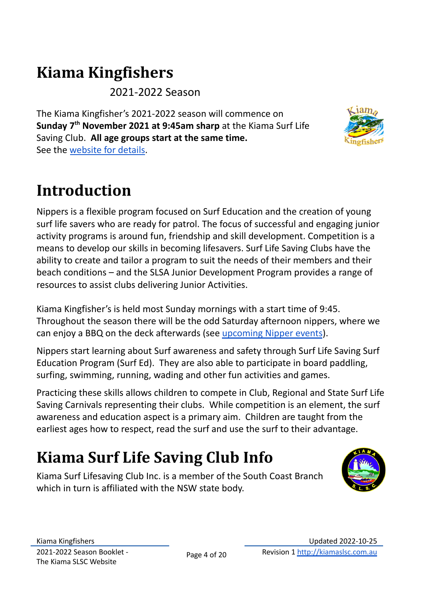# **Kiama Kingfishers**

2021-2022 Season

The Kiama Kingfisher's 2021-2022 season will commence on **Sunday 7 th November 2021 at 9:45am sharp** at the Kiama Surf Life Saving Club. **All age groups start at the same time.** See the [website](https://kiamaslsc.com.au/our-club/events-nippers/) for details.

<span id="page-3-0"></span>

Nippers is a flexible program focused on Surf Education and the creation of young surf life savers who are ready for patrol. The focus of successful and engaging junior activity programs is around fun, friendship and skill development. Competition is a means to develop our skills in becoming lifesavers. Surf Life Saving Clubs have the ability to create and tailor a program to suit the needs of their members and their beach conditions – and the SLSA Junior Development Program provides a range of resources to assist clubs delivering Junior Activities.

Kiama Kingfisher's is held most Sunday mornings with a start time of 9:45. Throughout the season there will be the odd Saturday afternoon nippers, where we can enjoy a BBQ on the deck afterwards (see [upcoming](https://kiamaslsc.com.au/members/nippers/#upcoming-events) Nipper events).

Nippers start learning about Surf awareness and safety through Surf Life Saving Surf Education Program (Surf Ed). They are also able to participate in board paddling, surfing, swimming, running, wading and other fun activities and games.

Practicing these skills allows children to compete in Club, Regional and State Surf Life Saving Carnivals representing their clubs. While competition is an element, the surf awareness and education aspect is a primary aim. Children are taught from the earliest ages how to respect, read the surf and use the surf to their advantage.

# <span id="page-3-1"></span>**Kiama Surf Life Saving Club Info**

Kiama Surf Lifesaving Club Inc. is a member of the South Coast Branch which in turn is affiliated with the NSW state body.

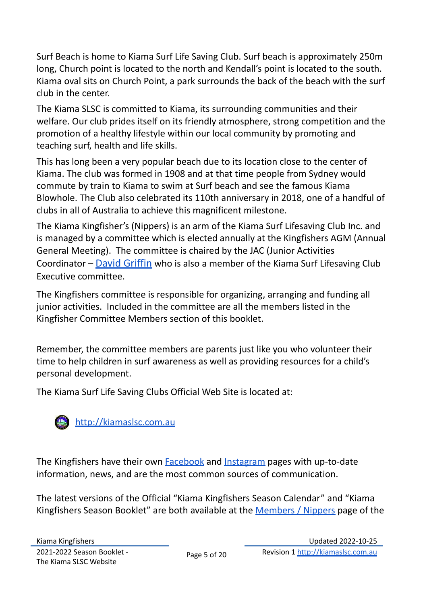Surf Beach is home to Kiama Surf Life Saving Club. Surf beach is approximately 250m long, Church point is located to the north and Kendall's point is located to the south. Kiama oval sits on Church Point, a park surrounds the back of the beach with the surf club in the center.

The Kiama SLSC is committed to Kiama, its surrounding communities and their welfare. Our club prides itself on its friendly atmosphere, strong competition and the promotion of a healthy lifestyle within our local community by promoting and teaching surf, health and life skills.

This has long been a very popular beach due to its location close to the center of Kiama. The club was formed in 1908 and at that time people from Sydney would commute by train to Kiama to swim at Surf beach and see the famous Kiama Blowhole. The Club also celebrated its 110th anniversary in 2018, one of a handful of clubs in all of Australia to achieve this magnificent milestone.

The Kiama Kingfisher's (Nippers) is an arm of the Kiama Surf Lifesaving Club Inc. and is managed by a committee which is elected annually at the Kingfishers AGM (Annual General Meeting). The committee is chaired by the JAC (Junior Activities Coordinator – David [Griffin](mailto:jac@kiamaslsc.com.au) who is also a member of the Kiama Surf Lifesaving Club Executive committee.

The Kingfishers committee is responsible for organizing, arranging and funding all junior activities. Included in the committee are all the members listed in the Kingfisher Committee Members section of this booklet.

Remember, the committee members are parents just like you who volunteer their time to help children in surf awareness as well as providing resources for a child's personal development.

The Kiama Surf Life Saving Clubs Official Web Site is located at:



The Kingfishers have their own **[Facebook](https://www.facebook.com/kiamakingfishers/)** and [Instagram](https://www.instagram.com/kiama_kingfishers/) pages with up-to-date information, news, and are the most common sources of communication.

The latest versions of the Official "Kiama Kingfishers Season Calendar" and ["Kiama](http://www.kiamaslsc.com.au/downloads/Kiama%20Kingfishers%20Booklet%2008_09%20to%20PDF%20-%20v1.7.pdf) [Kingfishers](http://www.kiamaslsc.com.au/downloads/Kiama%20Kingfishers%20Booklet%2008_09%20to%20PDF%20-%20v1.7.pdf) Season Booklet" are both available at the [Members](https://kiamaslsc.com.au/members/nippers/) / Nippers page of the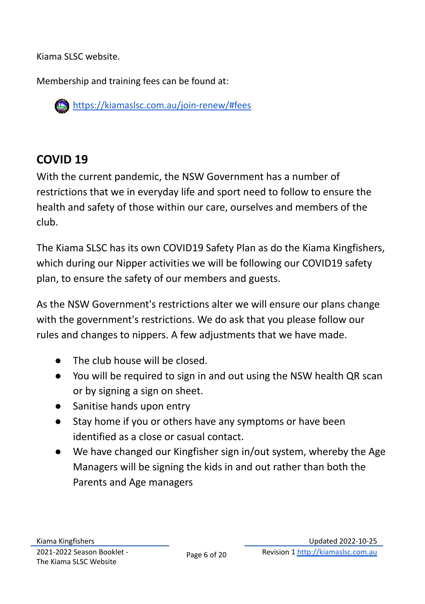Kiama SLSC website.

Membership and training fees can be found at:

<https://kiamaslsc.com.au/join-renew/#fees>

# <span id="page-5-0"></span>**COVID 19**

With the current pandemic, the NSW Government has a number of restrictions that we in everyday life and sport need to follow to ensure the health and safety of those within our care, ourselves and members of the club.

The Kiama SLSC has its own COVID19 Safety Plan as do the Kiama Kingfishers, which during our Nipper activities we will be following our COVID19 safety plan, to ensure the safety of our members and guests.

As the NSW Government's restrictions alter we will ensure our plans change with the government's restrictions. We do ask that you please follow our rules and changes to nippers. A few adjustments that we have made.

- The club house will be closed.
- You will be required to sign in and out using the NSW health QR scan or by signing a sign on sheet.
- Sanitise hands upon entry
- Stay home if you or others have any symptoms or have been identified as a close or casual contact.
- We have changed our Kingfisher sign in/out system, whereby the Age Managers will be signing the kids in and out rather than both the Parents and Age managers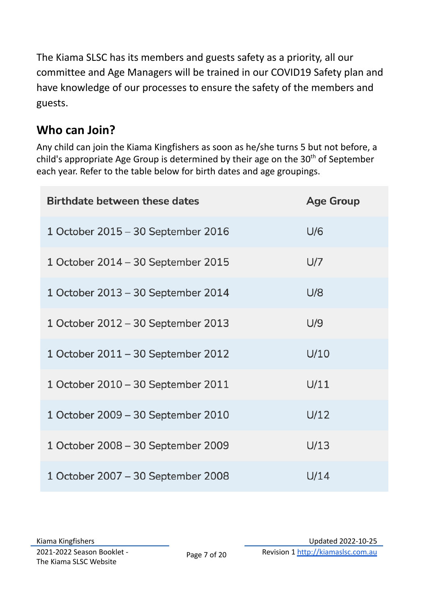The Kiama SLSC has its members and guests safety as a priority, all our committee and Age Managers will be trained in our COVID19 Safety plan and have knowledge of our processes to ensure the safety of the members and guests.

# <span id="page-6-0"></span>**Who can Join?**

Any child can join the Kiama Kingfishers as soon as he/she turns 5 but not before, a child's appropriate Age Group is determined by their age on the 30<sup>th</sup> of September each year. Refer to the table below for birth dates and age groupings.

| <b>Birthdate between these dates</b> | <b>Age Group</b> |
|--------------------------------------|------------------|
| 1 October 2015 - 30 September 2016   | U/6              |
| 1 October 2014 - 30 September 2015   | U/7              |
| 1 October 2013 - 30 September 2014   | U/8              |
| 1 October 2012 - 30 September 2013   | U/9              |
| 1 October 2011 - 30 September 2012   | U/10             |
| 1 October 2010 - 30 September 2011   | U/11             |
| 1 October 2009 - 30 September 2010   | U/12             |
| 1 October 2008 - 30 September 2009   | U/13             |
| 1 October 2007 - 30 September 2008   | U/14             |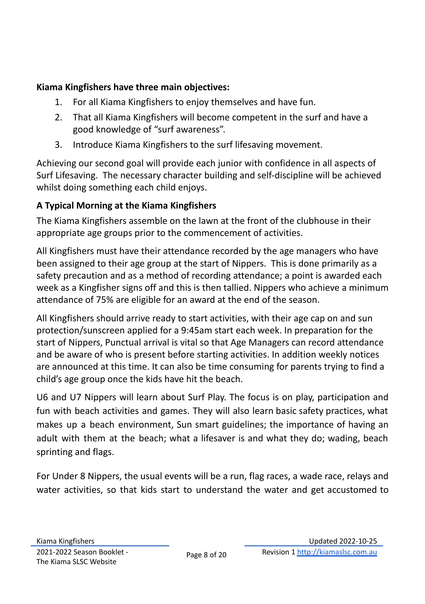#### **Kiama Kingfishers have three main objectives:**

- 1. For all Kiama Kingfishers to enjoy themselves and have fun.
- 2. That all Kiama Kingfishers will become competent in the surf and have a good knowledge of "surf awareness".
- 3. Introduce Kiama Kingfishers to the surf lifesaving movement.

Achieving our second goal will provide each junior with confidence in all aspects of Surf Lifesaving. The necessary character building and self-discipline will be achieved whilst doing something each child enjoys.

#### **A Typical Morning at the Kiama Kingfishers**

The Kiama Kingfishers assemble on the lawn at the front of the clubhouse in their appropriate age groups prior to the commencement of activities.

All Kingfishers must have their attendance recorded by the age managers who have been assigned to their age group at the start of Nippers. This is done primarily as a safety precaution and as a method of recording attendance; a point is awarded each week as a Kingfisher signs off and this is then tallied. Nippers who achieve a minimum attendance of 75% are eligible for an award at the end of the season.

All Kingfishers should arrive ready to start activities, with their age cap on and sun protection/sunscreen applied for a 9:45am start each week. In preparation for the start of Nippers, Punctual arrival is vital so that Age Managers can record attendance and be aware of who is present before starting activities. In addition weekly notices are announced at this time. It can also be time consuming for parents trying to find a child's age group once the kids have hit the beach.

U6 and U7 Nippers will learn about Surf Play. The focus is on play, participation and fun with beach activities and games. They will also learn basic safety practices, what makes up a beach environment, Sun smart guidelines; the importance of having an adult with them at the beach; what a lifesaver is and what they do; wading, beach sprinting and flags.

For Under 8 Nippers, the usual events will be a run, flag races, a wade race, relays and water activities, so that kids start to understand the water and get accustomed to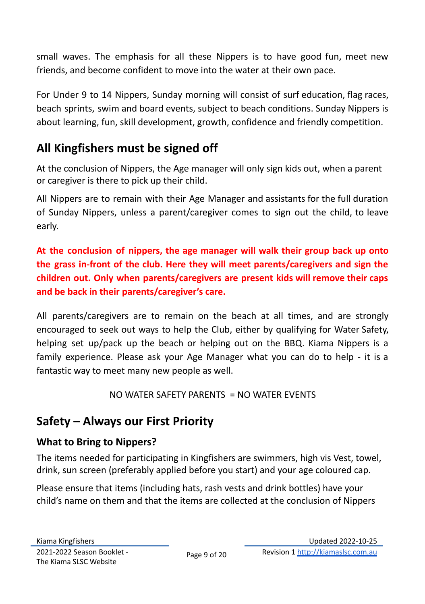small waves. The emphasis for all these Nippers is to have good fun, meet new friends, and become confident to move into the water at their own pace.

For Under 9 to 14 Nippers, Sunday morning will consist of surf education, flag races, beach sprints, swim and board events, subject to beach conditions. Sunday Nippers is about learning, fun, skill development, growth, confidence and friendly competition.

# <span id="page-8-0"></span>**All Kingfishers must be signed off**

At the conclusion of Nippers, the Age manager will only sign kids out, when a parent or caregiver is there to pick up their child.

All Nippers are to remain with their Age Manager and assistants for the full duration of Sunday Nippers, unless a parent/caregiver comes to sign out the child, to leave early.

### **At the conclusion of nippers, the age manager will walk their group back up onto the grass in-front of the club. Here they will meet parents/caregivers and sign the children out. Only when parents/caregivers are present kids will remove their caps and be back in their parents/caregiver's care.**

All parents/caregivers are to remain on the beach at all times, and are strongly encouraged to seek out ways to help the Club, either by qualifying for Water Safety, helping set up/pack up the beach or helping out on the BBQ. Kiama Nippers is a family experience. Please ask your Age Manager what you can do to help - it is a fantastic way to meet many new people as well.

#### $NO$  WATER SAFETY PARENTS = NO WATER EVENTS

# <span id="page-8-1"></span>**Safety – Always our First Priority**

### <span id="page-8-2"></span>**What to Bring to Nippers?**

The items needed for participating in Kingfishers are swimmers, high vis Vest, towel, drink, sun screen (preferably applied before you start) and your age coloured cap.

Please ensure that items (including hats, rash vests and drink bottles) have your child's name on them and that the items are collected at the conclusion of Nippers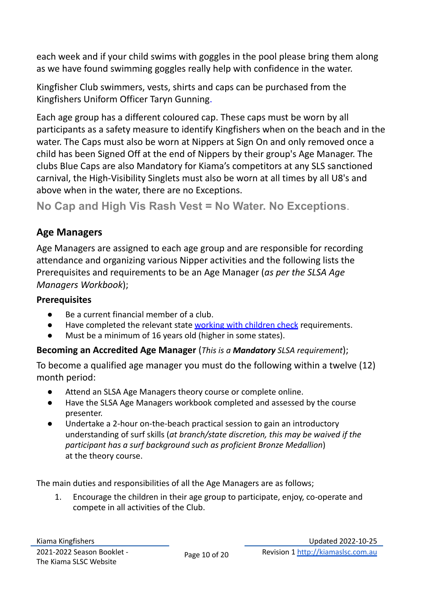each week and if your child swims with goggles in the pool please bring them along as we have found swimming goggles really help with confidence in the water.

Kingfisher Club swimmers, vests, shirts and caps can be purchased from the Kingfishers Uniform Officer Taryn Gunning.

Each age group has a different coloured cap. These caps must be worn by all participants as a safety measure to identify Kingfishers when on the beach and in the water. The Caps must also be worn at Nippers at Sign On and only removed once a child has been Signed Off at the end of Nippers by their group's Age Manager. The clubs Blue Caps are also Mandatory for Kiama's competitors at any SLS sanctioned carnival, the High-Visibility Singlets must also be worn at all times by all U8's and above when in the water, there are no Exceptions.

**No Cap and High Vis Rash Vest = No Water. No Exceptions**.

#### <span id="page-9-0"></span>**Age Managers**

Age Managers are assigned to each age group and are responsible for recording attendance and organizing various Nipper activities and the following lists the Prerequisites and requirements to be an Age Manager (*as per the SLSA Age Managers Workbook*);

#### **Prerequisites**

- Be a current financial member of a club.
- Have completed the relevant state [working with children](https://www.kidsguardian.nsw.gov.au/child-safe-organisations/working-with-children-check) check requirements.
- Must be a minimum of 16 years old (higher in some states).

#### **Becoming an Accredited Age Manager** (*This is a Mandatory SLSA requirement*);

To become a qualified age manager you must do the following within a twelve (12) month period:

- Attend an SLSA Age Managers theory course or complete online.
- Have the SLSA Age Managers workbook completed and assessed by the course presenter.
- Undertake a 2-hour on-the-beach practical session to gain an introductory understanding of surf skills (*at branch/state discretion, this may be waived if the participant has a surf background such as proficient Bronze Medallion*) at the theory course.

The main duties and responsibilities of all the Age Managers are as follows;

1. Encourage the children in their age group to participate, enjoy, co-operate and compete in all activities of the Club.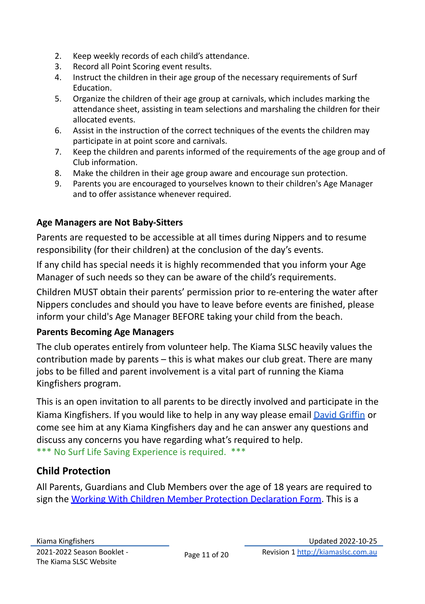- 2. Keep weekly records of each child's attendance.
- 3. Record all Point Scoring event results.
- 4. Instruct the children in their age group of the necessary requirements of Surf Education.
- 5. Organize the children of their age group at carnivals, which includes marking the attendance sheet, assisting in team selections and marshaling the children for their allocated events.
- 6. Assist in the instruction of the correct techniques of the events the children may participate in at point score and carnivals.
- 7. Keep the children and parents informed of the requirements of the age group and of Club information.
- 8. Make the children in their age group aware and encourage sun protection.
- 9. Parents you are encouraged to yourselves known to their children's Age Manager and to offer assistance whenever required.

#### **Age Managers are Not Baby-Sitters**

Parents are requested to be accessible at all times during Nippers and to resume responsibility (for their children) at the conclusion of the day's events.

If any child has special needs it is highly recommended that you inform your Age Manager of such needs so they can be aware of the child's requirements.

Children MUST obtain their parents' permission prior to re-entering the water after Nippers concludes and should you have to leave before events are finished, please inform your child's Age Manager BEFORE taking your child from the beach.

#### **Parents Becoming Age Managers**

The club operates entirely from volunteer help. The Kiama SLSC heavily values the contribution made by parents – this is what makes our club great. There are many jobs to be filled and parent involvement is a vital part of running the Kiama Kingfishers program.

This is an open invitation to all parents to be directly involved and participate in the Kiama Kingfishers. If you would like to help in any way please email David [Griffin](mailto:jac@kiamaslsc.com.au) or come see him at any Kiama Kingfishers day and he can answer any questions and discuss any concerns you have regarding what's required to help. \*\*\* No Surf Life Saving Experience is required. \*\*\*

### <span id="page-10-0"></span>**Child Protection**

All Parents, Guardians and Club Members over the age of 18 years are required to sign the Working With Children Member Protection [Declaration](https://www.kidsguardian.nsw.gov.au/child-safe-organisations/working-with-children-check) Form. This is a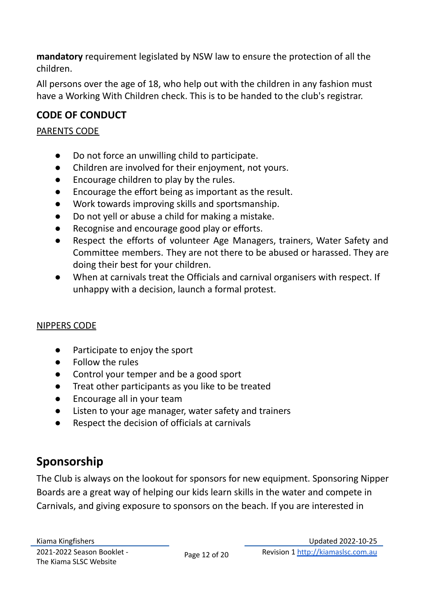**mandatory** requirement legislated by NSW law to ensure the protection of all the children.

All persons over the age of 18, who help out with the children in any fashion must have a Working With Children check. This is to be handed to the club's registrar.

### <span id="page-11-0"></span>**CODE OF CONDUCT**

#### PARENTS CODE

- Do not force an unwilling child to participate.
- Children are involved for their enjoyment, not yours.
- Encourage children to play by the rules.
- Encourage the effort being as important as the result.
- Work towards improving skills and sportsmanship.
- Do not yell or abuse a child for making a mistake.
- Recognise and encourage good play or efforts.
- Respect the efforts of volunteer Age Managers, trainers, Water Safety and Committee members. They are not there to be abused or harassed. They are doing their best for your children.
- When at carnivals treat the Officials and carnival organisers with respect. If unhappy with a decision, launch a formal protest.

#### NIPPERS CODE

- Participate to enjoy the sport
- Follow the rules
- Control your temper and be a good sport
- Treat other participants as you like to be treated
- Encourage all in your team
- Listen to your age manager, water safety and trainers
- Respect the decision of officials at carnivals

# <span id="page-11-1"></span>**Sponsorship**

The Club is always on the lookout for sponsors for new equipment. Sponsoring Nipper Boards are a great way of helping our kids learn skills in the water and compete in Carnivals, and giving exposure to sponsors on the beach. If you are interested in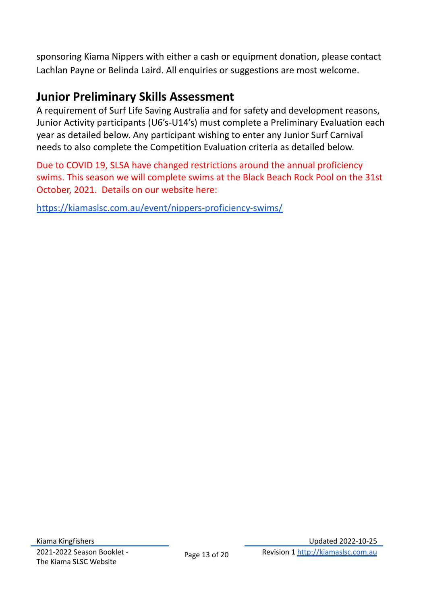sponsoring Kiama Nippers with either a cash or equipment donation, please contact Lachlan Payne or Belinda Laird. All enquiries or suggestions are most welcome.

### <span id="page-12-0"></span>**Junior Preliminary Skills Assessment**

A requirement of Surf Life Saving Australia and for safety and development reasons, Junior Activity participants (U6's-U14's) must complete a Preliminary Evaluation each year as detailed below. Any participant wishing to enter any Junior Surf Carnival needs to also complete the Competition Evaluation criteria as detailed below.

Due to COVID 19, SLSA have changed restrictions around the annual proficiency swims. This season we will complete swims at the Black Beach Rock Pool on the 31st October, 2021. Details on our website here:

<https://kiamaslsc.com.au/event/nippers-proficiency-swims/>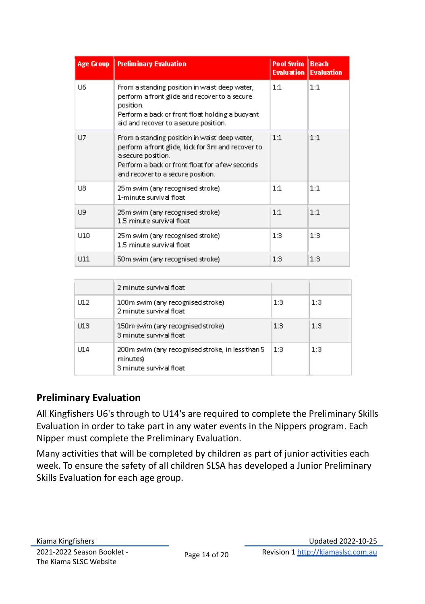| <b>Age Group</b> | <b>Preliminary Evaluation</b>                                                                                                                                                                                    | <b>Pool Swim   Beach</b> | <b>Evaluation   Evaluation</b> |
|------------------|------------------------------------------------------------------------------------------------------------------------------------------------------------------------------------------------------------------|--------------------------|--------------------------------|
| U6               | From a standing position in waist deep water,<br>perform a front glide and recover to a secure<br>position.<br>Perform a back or front float holding a buoyant<br>aid and recover to a secure position.          | 1:1                      | 1:1                            |
| U7               | From a standing position in waist deep water,<br>perform a front glide, kick for 3m and recover to<br>a secure position.<br>Perform a back or front float for a few seconds<br>and recover to a secure position. | 1:1                      | 1:1                            |
| U8               | 25m swim (any recognised stroke)<br>1-minute survival float.                                                                                                                                                     | 1:1                      | 1:1                            |
| U9               | 25m swim (any recognised stroke)<br>1.5 minute survival float.                                                                                                                                                   | 1:1                      | 1:1                            |
| U10              | 25m swim (any recognised stroke)<br>1.5 minute survival float                                                                                                                                                    | 1:3                      | 1:3                            |
| <b>U11</b>       | 50m swim (any recognised stroke)                                                                                                                                                                                 | 1:3                      | 1:3                            |

|      | 2 minute survival float                                                                 |     |     |
|------|-----------------------------------------------------------------------------------------|-----|-----|
| U12  | 100m swim (any recognised stroke)<br>2 minute survival float                            | 1:3 | 1:3 |
| U13  | 150m swim (any recognised stroke)<br>3 minute survival float                            | 1:3 | 1:3 |
| LI14 | 200m swim (any recognised stroke, in less than 5<br>minutes)<br>3 minute survival float | 1:3 | 1:3 |

#### <span id="page-13-0"></span>**Preliminary Evaluation**

All Kingfishers U6's through to U14's are required to complete the Preliminary Skills Evaluation in order to take part in any water events in the Nippers program. Each Nipper must complete the Preliminary Evaluation.

Many activities that will be completed by children as part of junior activities each week. To ensure the safety of all children SLSA has developed a Junior Preliminary Skills Evaluation for each age group.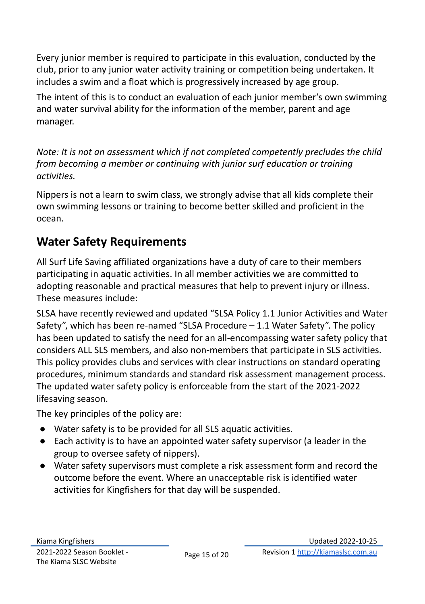Every junior member is required to participate in this evaluation, conducted by the club, prior to any junior water activity training or competition being undertaken. It includes a swim and a float which is progressively increased by age group.

The intent of this is to conduct an evaluation of each junior member's own swimming and water survival ability for the information of the member, parent and age manager.

*Note: It is not an assessment which if not completed competently precludes the child from becoming a member or continuing with junior surf education or training activities.*

Nippers is not a learn to swim class, we strongly advise that all kids complete their own swimming lessons or training to become better skilled and proficient in the ocean.

# <span id="page-14-0"></span>**Water Safety Requirements**

All Surf Life Saving affiliated organizations have a duty of care to their members participating in aquatic activities. In all member activities we are committed to adopting reasonable and practical measures that help to prevent injury or illness. These measures include:

SLSA have recently reviewed and updated "SLSA Policy 1.1 Junior Activities and Water Safety", which has been re-named "SLSA Procedure – 1.1 Water Safety". The policy has been updated to satisfy the need for an all-encompassing water safety policy that considers ALL SLS members, and also non-members that participate in SLS activities. This policy provides clubs and services with clear instructions on standard operating procedures, minimum standards and standard risk assessment management process. The updated water safety policy is enforceable from the start of the 2021-2022 lifesaving season.

The key principles of the policy are:

- Water safety is to be provided for all SLS aquatic activities.
- Each activity is to have an appointed water safety supervisor (a leader in the group to oversee safety of nippers).
- Water safety supervisors must complete a risk assessment form and record the outcome before the event. Where an unacceptable risk is identified water activities for Kingfishers for that day will be suspended.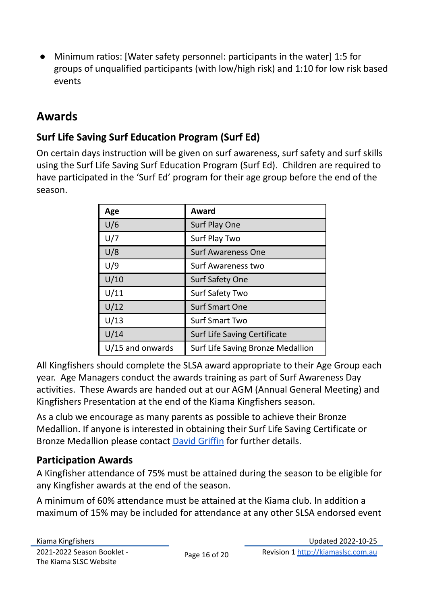● Minimum ratios: [Water safety personnel: participants in the water] 1:5 for groups of unqualified participants (with low/high risk) and 1:10 for low risk based events

## <span id="page-15-0"></span>**Awards**

### <span id="page-15-1"></span>**Surf Life Saving Surf Education Program (Surf Ed)**

On certain days instruction will be given on surf awareness, surf safety and surf skills using the Surf Life Saving Surf Education Program (Surf Ed). Children are required to have participated in the 'Surf Ed' program for their age group before the end of the season.

<span id="page-15-3"></span><span id="page-15-2"></span>

| Age              | Award                             |
|------------------|-----------------------------------|
| U/6              | Surf Play One                     |
| U/7              | Surf Play Two                     |
| U/8              | <b>Surf Awareness One</b>         |
| U/9              | Surf Awareness two                |
| U/10             | Surf Safety One                   |
| U/11             | Surf Safety Two                   |
| U/12             | <b>Surf Smart One</b>             |
| U/13             | <b>Surf Smart Two</b>             |
| U/14             | Surf Life Saving Certificate      |
| U/15 and onwards | Surf Life Saving Bronze Medallion |

All Kingfishers should complete the SLSA award appropriate to their Age Group each year. Age Managers conduct the awards training as part of Surf Awareness Day activities. These Awards are handed out at our AGM (Annual General Meeting) and Kingfishers Presentation at the end of the Kiama Kingfishers season.

As a club we encourage as many parents as possible to achieve their Bronze Medallion. If anyone is interested in obtaining their Surf Life Saving Certificate or Bronze Medallion please contact David [Griffin](mailto:jac@kiamaslsc.com.au) for further details.

### <span id="page-15-4"></span>**Participation Awards**

A Kingfisher attendance of 75% must be attained during the season to be eligible for any Kingfisher awards at the end of the season.

A minimum of 60% attendance must be attained at the Kiama club. In addition a maximum of 15% may be included for attendance at any other SLSA endorsed event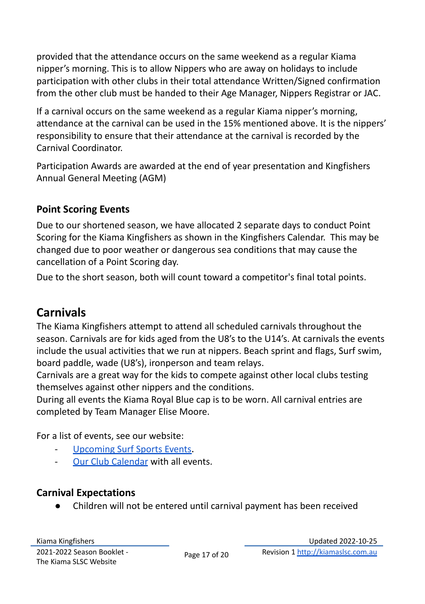provided that the attendance occurs on the same weekend as a regular Kiama nipper's morning. This is to allow Nippers who are away on holidays to include participation with other clubs in their total attendance Written/Signed confirmation from the other club must be handed to their Age Manager, Nippers Registrar or JAC.

If a carnival occurs on the same weekend as a regular Kiama nipper's morning, attendance at the carnival can be used in the 15% mentioned above. It is the nippers' responsibility to ensure that their attendance at the carnival is recorded by the Carnival Coordinator.

Participation Awards are awarded at the end of year presentation and Kingfishers Annual General Meeting (AGM)

#### <span id="page-16-0"></span>**Point Scoring Events**

Due to our shortened season, we have allocated 2 separate days to conduct Point Scoring for the Kiama Kingfishers as shown in the Kingfishers Calendar. This may be changed due to poor weather or dangerous sea conditions that may cause the cancellation of a Point Scoring day.

Due to the short season, both will count toward a competitor's final total points.

## <span id="page-16-1"></span>**Carnivals**

The Kiama Kingfishers attempt to attend all scheduled carnivals throughout the season. Carnivals are for kids aged from the U8's to the U14's. At carnivals the events include the usual activities that we run at nippers. Beach sprint and flags, Surf swim, board paddle, wade (U8's), ironperson and team relays.

Carnivals are a great way for the kids to compete against other local clubs testing themselves against other nippers and the conditions.

During all events the Kiama Royal Blue cap is to be worn. All carnival entries are completed by Team Manager Elise Moore.

For a list of events, see our website:

- [Upcoming](https://kiamaslsc.com.au/surf-sports/#upcoming-events) Surf Sports Events.
- Our Club [Calendar](https://kiamaslsc.com.au/events/) with all events.

### <span id="page-16-2"></span>**Carnival Expectations**

Children will not be entered until carnival payment has been received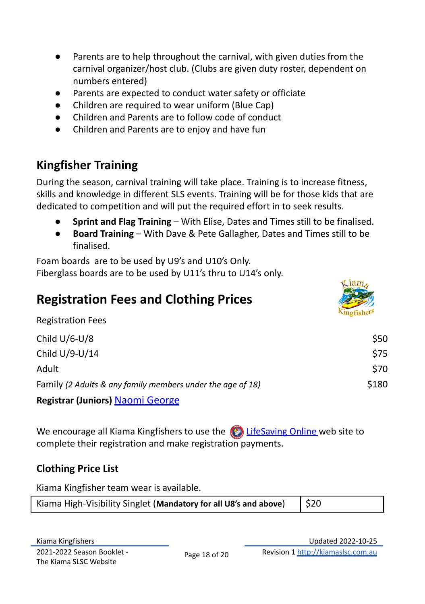- Parents are to help throughout the carnival, with given duties from the carnival organizer/host club. (Clubs are given duty roster, dependent on numbers entered)
- Parents are expected to conduct water safety or officiate
- Children are required to wear uniform (Blue Cap)
- Children and Parents are to follow code of conduct
- Children and Parents are to enjoy and have fun

# <span id="page-17-0"></span>**Kingfisher Training**

During the season, carnival training will take place. Training is to increase fitness, skills and knowledge in different SLS events. Training will be for those kids that are dedicated to competition and will put the required effort in to seek results.

- **Sprint and Flag Training** With Elise, Dates and Times still to be finalised.
- **Board Training** With Dave & Pete Gallagher, Dates and Times still to be finalised.

Foam boards are to be used by U9's and U10's Only. Fiberglass boards are to be used by U11's thru to U14's only.

<span id="page-17-1"></span>

| <b>Registration Fees and Clothing Prices</b><br><b>Registration Fees</b> |       |
|--------------------------------------------------------------------------|-------|
| Child $U/6-U/8$                                                          | \$50  |
| Child U/9-U/14                                                           | \$75  |
| Adult                                                                    | \$70  |
| Family (2 Adults & any family members under the age of 18)               | \$180 |
| Registrar (Juniors) Naomi George                                         |       |

We encourage all Kiama Kingfishers to use the  $\bigotimes$  [LifeSaving](https://www.lifesavingonline.com.au/SLSA_Online/modules/home/index.php) Online web site to complete their registration and make registration payments.

### <span id="page-17-2"></span>**Clothing Price List**

Kiama Kingfisher team wear is available.

| Kiama High-Visibility Singlet (Mandatory for all U8's and above) $\Big $ \$20 |  |
|-------------------------------------------------------------------------------|--|
|-------------------------------------------------------------------------------|--|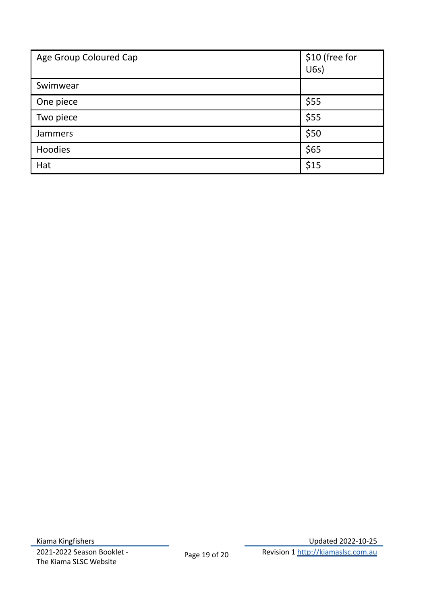<span id="page-18-0"></span>

| Age Group Coloured Cap | \$10 (free for<br>U(6s) |
|------------------------|-------------------------|
| Swimwear               |                         |
| One piece              | \$55                    |
| Two piece              | \$55                    |
| Jammers                | \$50                    |
| Hoodies                | \$65                    |
| Hat                    | \$15                    |